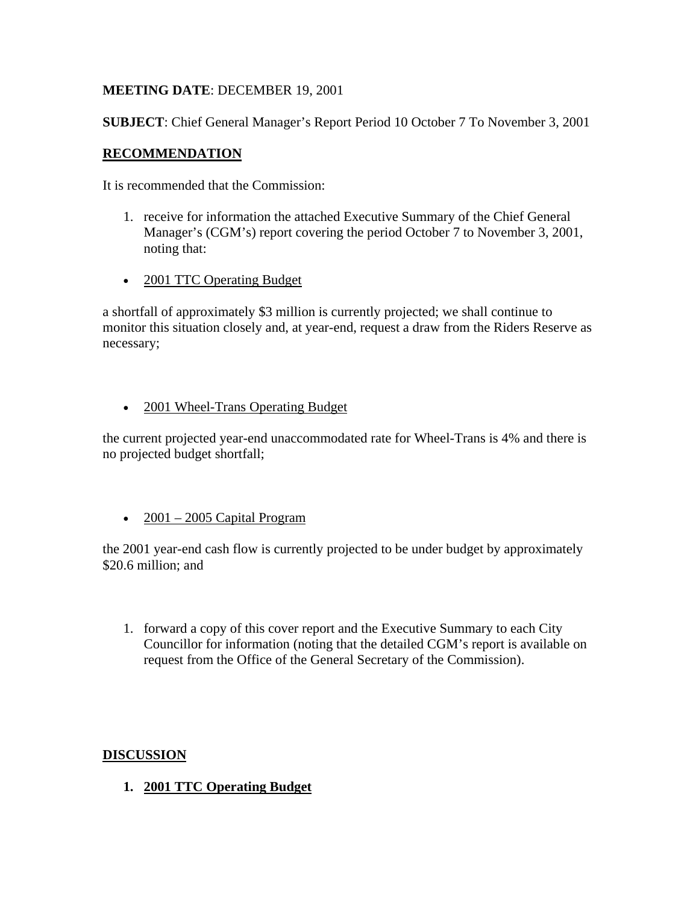# **MEETING DATE**: DECEMBER 19, 2001

**SUBJECT**: Chief General Manager's Report Period 10 October 7 To November 3, 2001

# **RECOMMENDATION**

It is recommended that the Commission:

- 1. receive for information the attached Executive Summary of the Chief General Manager's (CGM's) report covering the period October 7 to November 3, 2001, noting that:
- 2001 TTC Operating Budget

a shortfall of approximately \$3 million is currently projected; we shall continue to monitor this situation closely and, at year-end, request a draw from the Riders Reserve as necessary;

• 2001 Wheel-Trans Operating Budget

the current projected year-end unaccommodated rate for Wheel-Trans is 4% and there is no projected budget shortfall;

•  $2001 - 2005$  Capital Program

the 2001 year-end cash flow is currently projected to be under budget by approximately \$20.6 million: and

1. forward a copy of this cover report and the Executive Summary to each City Councillor for information (noting that the detailed CGM's report is available on request from the Office of the General Secretary of the Commission).

## **DISCUSSION**

**1. 2001 TTC Operating Budget**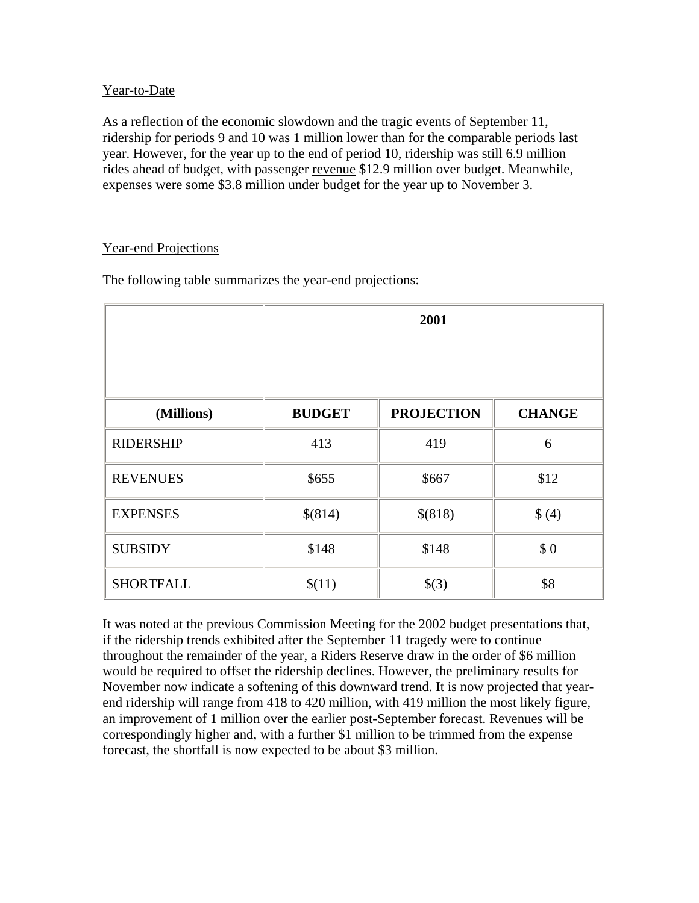## Year-to-Date

As a reflection of the economic slowdown and the tragic events of September 11, ridership for periods 9 and 10 was 1 million lower than for the comparable periods last year. However, for the year up to the end of period 10, ridership was still 6.9 million rides ahead of budget, with passenger revenue \$12.9 million over budget. Meanwhile, expenses were some \$3.8 million under budget for the year up to November 3.

#### Year-end Projections

The following table summarizes the year-end projections:

|                  | 2001          |                   |               |
|------------------|---------------|-------------------|---------------|
|                  |               |                   |               |
| (Millions)       | <b>BUDGET</b> | <b>PROJECTION</b> | <b>CHANGE</b> |
| <b>RIDERSHIP</b> | 413           | 419               | 6             |
| <b>REVENUES</b>  | \$655         | \$667             | \$12          |
| <b>EXPENSES</b>  | \$(814)       | \$(818)           | \$(4)         |
| <b>SUBSIDY</b>   | \$148         | \$148             | \$0           |
| <b>SHORTFALL</b> | \$(11)        | \$(3)             | \$8           |

It was noted at the previous Commission Meeting for the 2002 budget presentations that, if the ridership trends exhibited after the September 11 tragedy were to continue throughout the remainder of the year, a Riders Reserve draw in the order of \$6 million would be required to offset the ridership declines. However, the preliminary results for November now indicate a softening of this downward trend. It is now projected that yearend ridership will range from 418 to 420 million, with 419 million the most likely figure, an improvement of 1 million over the earlier post-September forecast. Revenues will be correspondingly higher and, with a further \$1 million to be trimmed from the expense forecast, the shortfall is now expected to be about \$3 million.